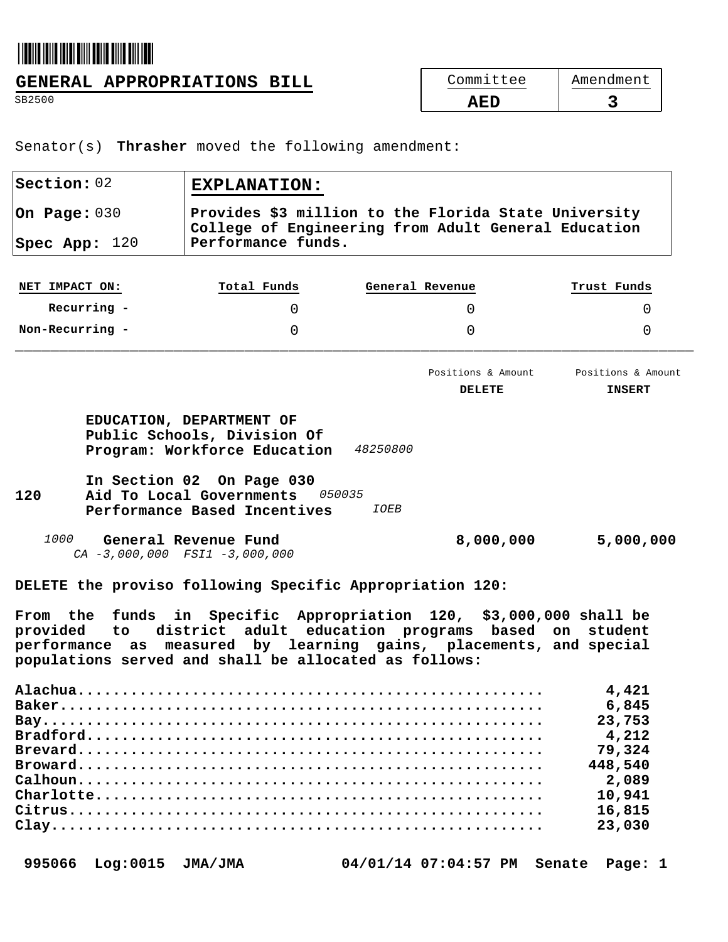## 

**GENERAL APPROPRIATIONS BILL**<br>
SB2500<br> **AED** SB2500 **AED 3** 

Senator(s) **Thrasher** moved the following amendment:

|                   | <b>EXPLANATION:</b>                                             |                                                                                                                                                                                  |                                     |  |  |
|-------------------|-----------------------------------------------------------------|----------------------------------------------------------------------------------------------------------------------------------------------------------------------------------|-------------------------------------|--|--|
| On Page: 030      |                                                                 | Provides \$3 million to the Florida State University<br>College of Engineering from Adult General Education<br>Performance funds.                                                |                                     |  |  |
| Spec App: 120     |                                                                 |                                                                                                                                                                                  |                                     |  |  |
| NET IMPACT ON:    | Total Funds                                                     | General Revenue                                                                                                                                                                  | Trust Funds                         |  |  |
| Recurring -       | 0                                                               | 0                                                                                                                                                                                | 0                                   |  |  |
| Non-Recurring -   | $\Omega$                                                        | 0                                                                                                                                                                                | $\Omega$                            |  |  |
|                   |                                                                 | Positions & Amount<br><b>DELETE</b>                                                                                                                                              | Positions & Amount<br><b>INSERT</b> |  |  |
| 120               | Aid To Local Governments 050035<br>Performance Based Incentives | <i>IOEB</i>                                                                                                                                                                      |                                     |  |  |
|                   |                                                                 |                                                                                                                                                                                  |                                     |  |  |
| 1000              | General Revenue Fund<br>$CA - 3,000,000$ $FSI1 - 3,000,000$     | 8,000,000                                                                                                                                                                        | 5,000,000                           |  |  |
|                   |                                                                 | DELETE the proviso following Specific Appropriation 120:                                                                                                                         |                                     |  |  |
| From the funds in | populations served and shall be allocated as follows:           | Specific Appropriation 120, \$3,000,000 shall be<br>provided to district adult education programs based on<br>performance as measured by learning gains, placements, and special | student                             |  |  |

| 448,540 |
|---------|
| 2,089   |
| 10,941  |
| 16,815  |
| 23,030  |
|         |

 **995066 Log:0015 JMA/JMA 04/01/14 07:04:57 PM Senate Page: 1**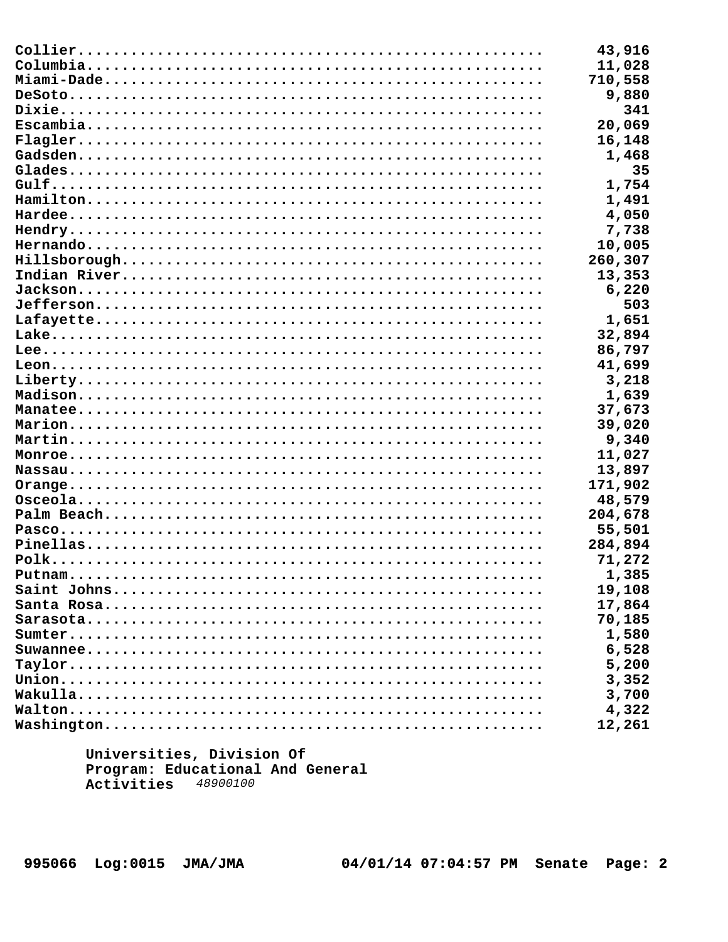| 43,916  |
|---------|
| 11,028  |
| 710,558 |
| 9,880   |
| 341     |
| 20,069  |
| 16,148  |
| 1,468   |
| 35      |
| 1,754   |
| 1,491   |
| 4,050   |
| 7,738   |
| 10,005  |
| 260,307 |
| 13,353  |
| 6,220   |
| 503     |
| 1,651   |
| 32,894  |
| 86,797  |
| 41,699  |
| 3,218   |
| 1,639   |
| 37,673  |
| 39,020  |
| 9,340   |
| 11,027  |
| 13,897  |
| 171,902 |
| 48,579  |
| 204,678 |
| 55,501  |
| 284,894 |
| 71,272  |
| 1,385   |
| 19,108  |
| 17,864  |
| 70,185  |
| 1,580   |
| 6,528   |
| 5,200   |
| 3,352   |
| 3,700   |
| 4,322   |
| 12,261  |
|         |

Universities, Division Of Program: Educational And General Activities 48900100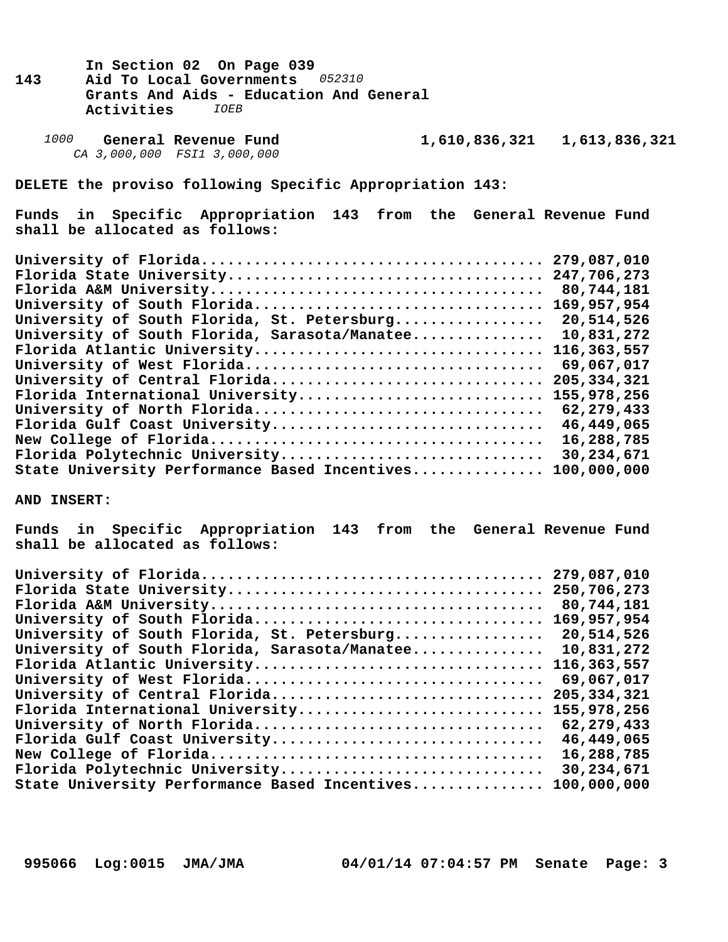- In Section 02 On Page 039<br>143 Aid To Local Governments **143 Aid To Local Governments** *052310*  **Grants And Aids - Education And General Activities** *IOEB*
	- *1000* **General Revenue Fund 1,610,836,321 1,613,836,321**  *CA 3,000,000 FSI1 3,000,000*

**DELETE the proviso following Specific Appropriation 143:**

**Funds in Specific Appropriation 143 from the General Revenue Fund shall be allocated as follows:**

| 279,087,010                          |
|--------------------------------------|
| Florida State University 247,706,273 |
| 80,744,181                           |
| 169,957,954                          |
| 20,514,526                           |
| 10,831,272                           |
| 116,363,557                          |
| 69,067,017                           |
| 205, 334, 321                        |
| 155,978,256                          |
| 62,279,433                           |
| 46,449,065                           |
| 16,288,785                           |
| 30,234,671                           |
| 100,000,000                          |
|                                      |

**AND INSERT:**

**Funds in Specific Appropriation 143 from the General Revenue Fund shall be allocated as follows:**

|                                               | 279,087,010   |
|-----------------------------------------------|---------------|
|                                               | 250,706,273   |
|                                               | 80,744,181    |
| University of South Florida                   | 169,957,954   |
| University of South Florida, St. Petersburg   | 20,514,526    |
| University of South Florida, Sarasota/Manatee | 10,831,272    |
| Florida Atlantic University                   | 116,363,557   |
| University of West Florida                    | 69,067,017    |
| University of Central Florida                 | 205, 334, 321 |
| Florida International University              | 155,978,256   |
| University of North Florida                   | 62,279,433    |
| Florida Gulf Coast University                 | 46,449,065    |
|                                               | 16,288,785    |
| Florida Polytechnic University                | 30,234,671    |
| State University Performance Based Incentives | 100,000,000   |